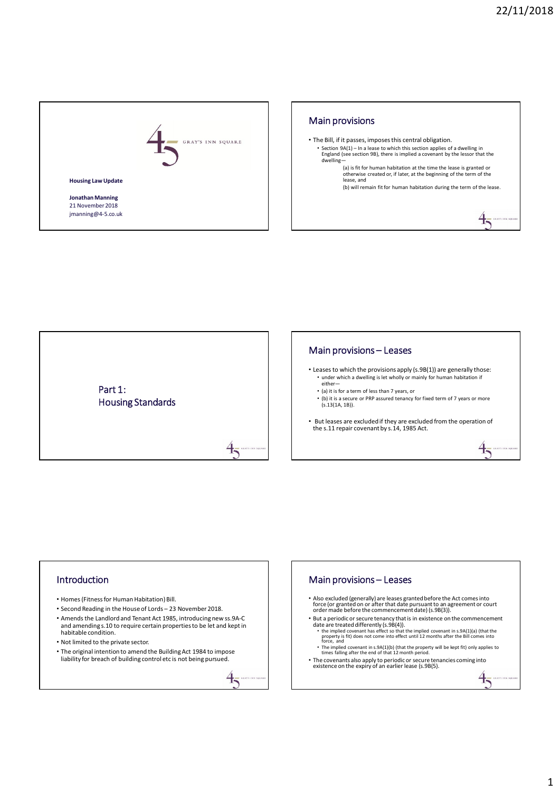

## Main provisions

- The Bill, if it passes, imposes this central obligation. • Section 9A(1) – In a lease to which this section applies of a dwelling in England (see section 9B), there is implied a covenant by the lessor that the dwelling—
	- (a) is fit for human habitation at the time the lease is granted or otherwise created or, if later, at the beginning of the term of the lease, and

(b) will remain fit for human habitation during the term of the lease.





4

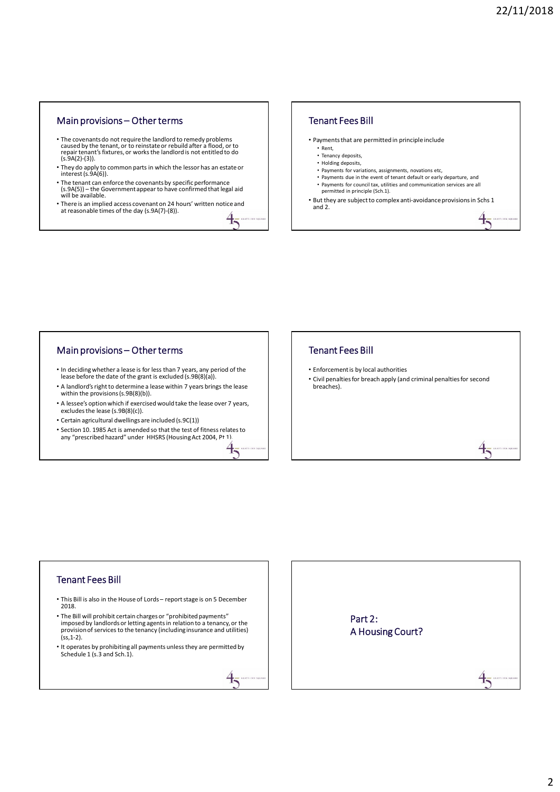## Main provisions – Other terms

- The covenants do not require the landlord to remedy problems caused by the tenant, or to reinstate or rebuild after a flood, or to repair tenant's fixtures, or works the landlord is not entitled to do (s.9A(2)-(3)).
- They do apply to common parts in which the lessor has an estate or interest (s.9A(6)).
- The tenant can enforce the covenants by specific performance (s.9A(5)) the Government appear to have confirmed that legal aid will be available.
- There is an implied access covenant on 24 hours' written notice and at reasonable times of the day (s.9A(7)-(8)). 4

## Tenant Fees Bill

- Payments that are permitted in principle include
	- Rent, • Tenancy deposits,
	- Holding deposits,
	- Payments for variations, assignments, novations etc,
	- Payments due in the event of tenant default or early departure, and
- Payments for council tax, utilities and communication services are all permitted in principle (Sch.1).
- But they are subject to complex anti-avoidance provisions in Schs 1 and 2.

### Main provisions – Other terms

- In deciding whether a lease is for less than 7 years, any period of the lease before the date of the grant is excluded (s.9B(8)(a)).
- A landlord's right to determine a lease within 7 years brings the lease within the provisions (s.9B(8)(b)).
- A lessee's option which if exercised would take the lease over 7 years, excludes the lease (s.9B(8)(c)).
- Certain agricultural dwellings are included (s.9C(1))
- Section 10. 1985 Act is amended so that the test of fitness relates to any "prescribed hazard" under HHSRS (Housing Act 2004, Pt 1).

## Tenant Fees Bill

- Enforcement is by local authorities
- Civil penalties for breach apply (and criminal penalties for second breaches).

## Tenant Fees Bill

- This Bill is also in the House of Lords report stage is on 5 December 2018.
- The Bill will prohibit certain charges or "prohibited payments" imposed by landlords or letting agents in relation to a tenancy, or the provision of services to the tenancy (including insurance and utilities) (ss,1-2).
- It operates by prohibiting all payments unless they are permitted by Schedule 1 (s.3 and Sch.1).



4.

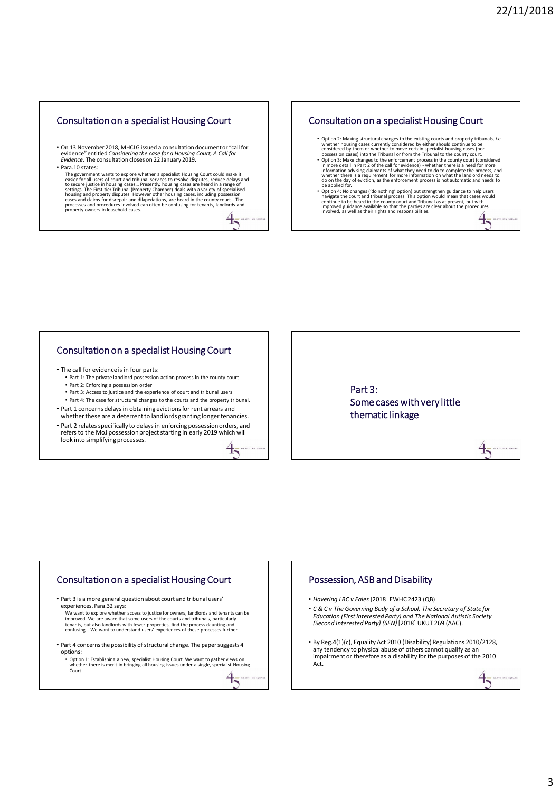$4\overline{ }$ 

 $4$ 

## Consultation on a specialist Housing Court

- On 13 November 2018, MHCLG issued a consultation document or "call for evidence" entitled *Considering the case for a Housing Court, A Call for Evidence*. The consultation closes on 22 January 2019.
- Para.10 states:

The government wants to explore whether a specialist Housing Court could make it<br>easier for all users of court and tribunal services to resolve disputes, reduce delays and<br>to secure justice in housing cases... Presently, h processes and procedures involved can often be confusing for tenants, landlords and property owners in leasehold cases.

卡

#### Consultation on a specialist Housing Court

- Option 2: Making structural changes to the existing courts and property tribunals, *i.e.*<br>whether housing cases currently considered by either should continue to be<br>considered by them or whether to move certain specialis
- Option 3: Make changes to the enforcement process in the county court (considered<br>in more detail in Part 2 of the call for evidence) whether the is a need for more<br>information advising claimants of what they need to d be applied for
- Option 4: No changes ('do nothing' option) but strengthen guidance to help users<br>navigate the court and tribunal process. This option would mean that cases would<br>continue to be heard in the county court and Tribunal as

#### Consultation on a specialist Housing Court

- The call for evidence is in four parts:
	- Part 1: The private landlord possession action process in the county court
	- Part 2: Enforcing a possession order
	- Part 3: Access to justice and the experience of court and tribunal users • Part 4: The case for structural changes to the courts and the property tribunal.
- Part 1 concerns delays in obtaining evictions for rent arrears and whether these are a deterrent to landlords granting longer tenancies.
- Part 2 relates specifically to delays in enforcing possession orders, and refers to the MoJ possession project starting in early 2019 which will look into simplifying processes.



Part 3: Some cases with very little thematic linkage

# Consultation on a specialist Housing Court • Part 3 is a more general question about court and tribunal users' experiences. Para.32 says: We want to explore whether access to justice for owners, landlords and tenants can be improved. We are aware that some users of the courts and tribunals, particularly<br>tenants, but also landlords with fewer properties, find the process daunting and<br>confusing... We want to understand users' experiences of the

- Part 4 concerns the possibility of structural change. The paper suggests 4 options:
	- Option 1: Establishing a new, specialist Housing Court. We want to gather views on whether there is merit in bringing all housing issues under a single, specialist Housing Court.  $4\overline{ }$



- *Havering LBC v Eales* [2018] EWHC 2423 (QB)
- *C & C v The Governing Body of a School, The Secretary of State for Education (First Interested Party) and The National Autistic Society (Second Interested Party) (SEN)* [2018] UKUT 269 (AAC).
- By Reg.4(1)(c), Equality Act 2010 (Disability) Regulations 2010/2128, any tendency to physical abuse of others cannot qualify as an impairment or therefore as a disability for the purposes of the 2010 Act.

 $4\overline{ }$